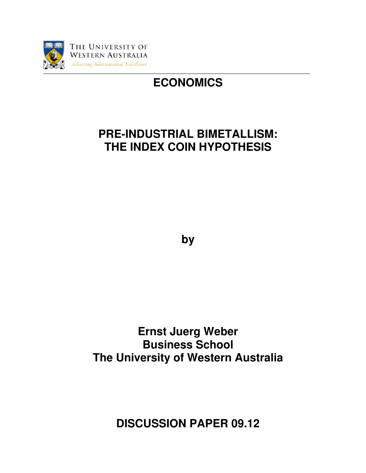

# **ECONOMICS**

## **PRE-INDUSTRIAL BIMETALLISM: THE INDEX COIN HYPOTHESIS**

**by** 

**Ernst Juerg Weber Business School The University of Western Australia** 

**DISCUSSION PAPER 09.12**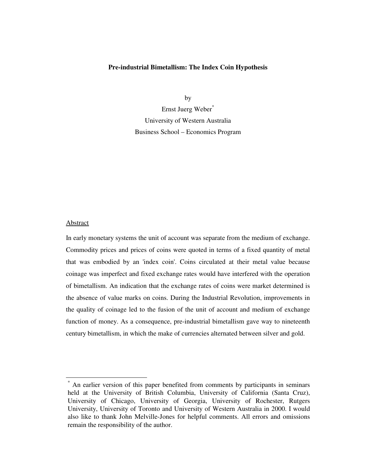#### **Pre-industrial Bimetallism: The Index Coin Hypothesis**

by

Ernst Juerg Weber\* University of Western Australia Business School – Economics Program

### **Abstract**

 $\ddot{\phantom{a}}$ 

In early monetary systems the unit of account was separate from the medium of exchange. Commodity prices and prices of coins were quoted in terms of a fixed quantity of metal that was embodied by an 'index coin'. Coins circulated at their metal value because coinage was imperfect and fixed exchange rates would have interfered with the operation of bimetallism. An indication that the exchange rates of coins were market determined is the absence of value marks on coins. During the Industrial Revolution, improvements in the quality of coinage led to the fusion of the unit of account and medium of exchange function of money. As a consequence, pre-industrial bimetallism gave way to nineteenth century bimetallism, in which the make of currencies alternated between silver and gold.

<sup>\*</sup> An earlier version of this paper benefited from comments by participants in seminars held at the University of British Columbia, University of California (Santa Cruz), University of Chicago, University of Georgia, University of Rochester, Rutgers University, University of Toronto and University of Western Australia in 2000. I would also like to thank John Melville-Jones for helpful comments. All errors and omissions remain the responsibility of the author.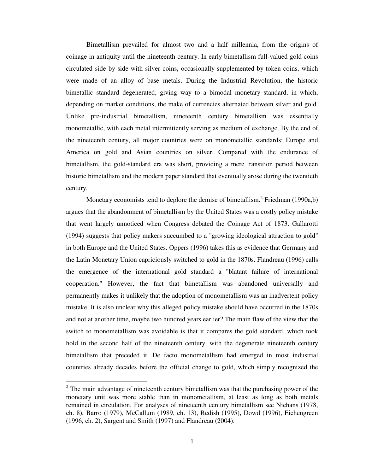Bimetallism prevailed for almost two and a half millennia, from the origins of coinage in antiquity until the nineteenth century. In early bimetallism full-valued gold coins circulated side by side with silver coins, occasionally supplemented by token coins, which were made of an alloy of base metals. During the Industrial Revolution, the historic bimetallic standard degenerated, giving way to a bimodal monetary standard, in which, depending on market conditions, the make of currencies alternated between silver and gold. Unlike pre-industrial bimetallism, nineteenth century bimetallism was essentially monometallic, with each metal intermittently serving as medium of exchange. By the end of the nineteenth century, all major countries were on monometallic standards: Europe and America on gold and Asian countries on silver. Compared with the endurance of bimetallism, the gold-standard era was short, providing a mere transition period between historic bimetallism and the modern paper standard that eventually arose during the twentieth century.

Monetary economists tend to deplore the demise of bimetallism.<sup>2</sup> Friedman (1990a,b) argues that the abandonment of bimetallism by the United States was a costly policy mistake that went largely unnoticed when Congress debated the Coinage Act of 1873. Gallarotti (1994) suggests that policy makers succumbed to a "growing ideological attraction to gold" in both Europe and the United States. Oppers (1996) takes this as evidence that Germany and the Latin Monetary Union capriciously switched to gold in the 1870s. Flandreau (1996) calls the emergence of the international gold standard a "blatant failure of international cooperation." However, the fact that bimetallism was abandoned universally and permanently makes it unlikely that the adoption of monometallism was an inadvertent policy mistake. It is also unclear why this alleged policy mistake should have occurred in the 1870s and not at another time, maybe two hundred years earlier? The main flaw of the view that the switch to monometallism was avoidable is that it compares the gold standard, which took hold in the second half of the nineteenth century, with the degenerate nineteenth century bimetallism that preceded it. De facto monometallism had emerged in most industrial countries already decades before the official change to gold, which simply recognized the

 $2$  The main advantage of nineteenth century bimetallism was that the purchasing power of the monetary unit was more stable than in monometallism, at least as long as both metals remained in circulation. For analyses of nineteenth century bimetallism see Niehans (1978, ch. 8), Barro (1979), McCallum (1989, ch. 13), Redish (1995), Dowd (1996), Eichengreen (1996, ch. 2), Sargent and Smith (1997) and Flandreau (2004).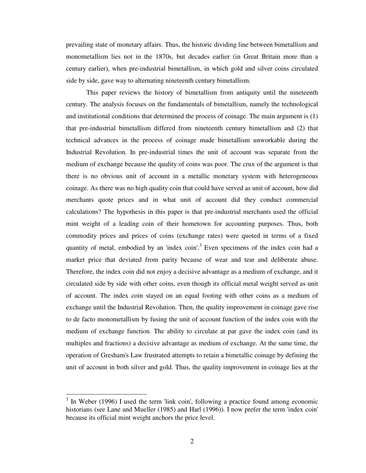prevailing state of monetary affairs. Thus, the historic dividing line between bimetallism and monometallism lies not in the 1870s, but decades earlier (in Great Britain more than a century earlier), when pre-industrial bimetallism, in which gold and silver coins circulated side by side, gave way to alternating nineteenth century bimetallism.

This paper reviews the history of bimetallism from antiquity until the nineteenth century. The analysis focuses on the fundamentals of bimetallism, namely the technological and institutional conditions that determined the process of coinage. The main argument is (1) that pre-industrial bimetallism differed from nineteenth century bimetallism and (2) that technical advances in the process of coinage made bimetallism unworkable during the Industrial Revolution. In pre-industrial times the unit of account was separate from the medium of exchange because the quality of coins was poor. The crux of the argument is that there is no obvious unit of account in a metallic monetary system with heterogeneous coinage. As there was no high quality coin that could have served as unit of account, how did merchants quote prices and in what unit of account did they conduct commercial calculations? The hypothesis in this paper is that pre-industrial merchants used the official mint weight of a leading coin of their hometown for accounting purposes. Thus, both commodity prices and prices of coins (exchange rates) were quoted in terms of a fixed quantity of metal, embodied by an 'index coin'.<sup>3</sup> Even specimens of the index coin had a market price that deviated from parity because of wear and tear and deliberate abuse. Therefore, the index coin did not enjoy a decisive advantage as a medium of exchange, and it circulated side by side with other coins, even though its official metal weight served as unit of account. The index coin stayed on an equal footing with other coins as a medium of exchange until the Industrial Revolution. Then, the quality improvement in coinage gave rise to de facto monometallism by fusing the unit of account function of the index coin with the medium of exchange function. The ability to circulate at par gave the index coin (and its multiples and fractions) a decisive advantage as medium of exchange. At the same time, the operation of Gresham's Law frustrated attempts to retain a bimetallic coinage by defining the unit of account in both silver and gold. Thus, the quality improvement in coinage lies at the

<sup>&</sup>lt;sup>3</sup> In Weber (1996) I used the term 'link coin', following a practice found among economic historians (see Lane and Mueller (1985) and Harl (1996)). I now prefer the term 'index coin' because its official mint weight anchors the price level.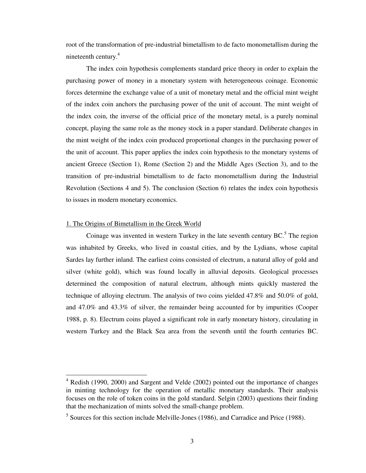root of the transformation of pre-industrial bimetallism to de facto monometallism during the nineteenth century.<sup>4</sup>

The index coin hypothesis complements standard price theory in order to explain the purchasing power of money in a monetary system with heterogeneous coinage. Economic forces determine the exchange value of a unit of monetary metal and the official mint weight of the index coin anchors the purchasing power of the unit of account. The mint weight of the index coin, the inverse of the official price of the monetary metal, is a purely nominal concept, playing the same role as the money stock in a paper standard. Deliberate changes in the mint weight of the index coin produced proportional changes in the purchasing power of the unit of account. This paper applies the index coin hypothesis to the monetary systems of ancient Greece (Section 1), Rome (Section 2) and the Middle Ages (Section 3), and to the transition of pre-industrial bimetallism to de facto monometallism during the Industrial Revolution (Sections 4 and 5). The conclusion (Section 6) relates the index coin hypothesis to issues in modern monetary economics.

#### 1. The Origins of Bimetallism in the Greek World

-

Coinage was invented in western Turkey in the late seventh century  $BC$ <sup>5</sup>. The region was inhabited by Greeks, who lived in coastal cities, and by the Lydians, whose capital Sardes lay further inland. The earliest coins consisted of electrum, a natural alloy of gold and silver (white gold), which was found locally in alluvial deposits. Geological processes determined the composition of natural electrum, although mints quickly mastered the technique of alloying electrum. The analysis of two coins yielded 47.8% and 50.0% of gold, and 47.0% and 43.3% of silver, the remainder being accounted for by impurities (Cooper 1988, p. 8). Electrum coins played a significant role in early monetary history, circulating in western Turkey and the Black Sea area from the seventh until the fourth centuries BC.

<sup>&</sup>lt;sup>4</sup> Redish (1990, 2000) and Sargent and Velde (2002) pointed out the importance of changes in minting technology for the operation of metallic monetary standards. Their analysis focuses on the role of token coins in the gold standard. Selgin (2003) questions their finding that the mechanization of mints solved the small-change problem.

<sup>&</sup>lt;sup>5</sup> Sources for this section include Melville-Jones (1986), and Carradice and Price (1988).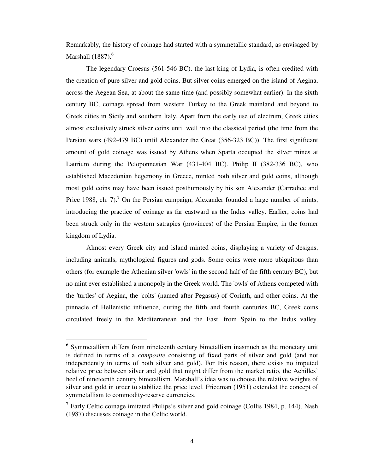Remarkably, the history of coinage had started with a symmetallic standard, as envisaged by Marshall  $(1887)$ .<sup>6</sup>

The legendary Croesus (561-546 BC), the last king of Lydia, is often credited with the creation of pure silver and gold coins. But silver coins emerged on the island of Aegina, across the Aegean Sea, at about the same time (and possibly somewhat earlier). In the sixth century BC, coinage spread from western Turkey to the Greek mainland and beyond to Greek cities in Sicily and southern Italy. Apart from the early use of electrum, Greek cities almost exclusively struck silver coins until well into the classical period (the time from the Persian wars (492-479 BC) until Alexander the Great (356-323 BC)). The first significant amount of gold coinage was issued by Athens when Sparta occupied the silver mines at Laurium during the Peloponnesian War (431-404 BC). Philip II (382-336 BC), who established Macedonian hegemony in Greece, minted both silver and gold coins, although most gold coins may have been issued posthumously by his son Alexander (Carradice and Price 1988, ch.  $7$ ).<sup>7</sup> On the Persian campaign, Alexander founded a large number of mints, introducing the practice of coinage as far eastward as the Indus valley. Earlier, coins had been struck only in the western satrapies (provinces) of the Persian Empire, in the former kingdom of Lydia.

Almost every Greek city and island minted coins, displaying a variety of designs, including animals, mythological figures and gods. Some coins were more ubiquitous than others (for example the Athenian silver 'owls' in the second half of the fifth century BC), but no mint ever established a monopoly in the Greek world. The 'owls' of Athens competed with the 'turtles' of Aegina, the 'colts' (named after Pegasus) of Corinth, and other coins. At the pinnacle of Hellenistic influence, during the fifth and fourth centuries BC, Greek coins circulated freely in the Mediterranean and the East, from Spain to the Indus valley.

<sup>&</sup>lt;sup>6</sup> Symmetallism differs from nineteenth century bimetallism inasmuch as the monetary unit is defined in terms of a *composite* consisting of fixed parts of silver and gold (and not independently in terms of both silver and gold). For this reason, there exists no imputed relative price between silver and gold that might differ from the market ratio, the Achilles' heel of nineteenth century bimetallism. Marshall's idea was to choose the relative weights of silver and gold in order to stabilize the price level. Friedman (1951) extended the concept of symmetallism to commodity-reserve currencies.

<sup>&</sup>lt;sup>7</sup> Early Celtic coinage imitated Philips's silver and gold coinage (Collis 1984, p. 144). Nash (1987) discusses coinage in the Celtic world.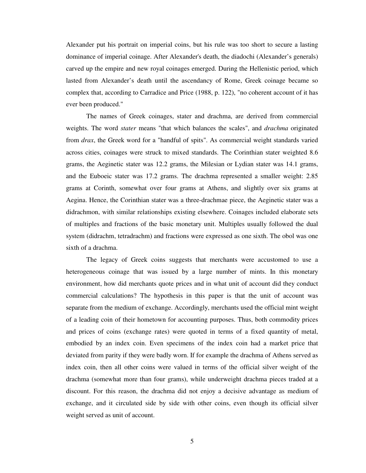Alexander put his portrait on imperial coins, but his rule was too short to secure a lasting dominance of imperial coinage. After Alexander's death, the diadochi (Alexander's generals) carved up the empire and new royal coinages emerged. During the Hellenistic period, which lasted from Alexander's death until the ascendancy of Rome, Greek coinage became so complex that, according to Carradice and Price (1988, p. 122), "no coherent account of it has ever been produced."

The names of Greek coinages, stater and drachma, are derived from commercial weights. The word *stater* means "that which balances the scales", and *drachma* originated from *drax*, the Greek word for a "handful of spits". As commercial weight standards varied across cities, coinages were struck to mixed standards. The Corinthian stater weighted 8.6 grams, the Aeginetic stater was 12.2 grams, the Milesian or Lydian stater was 14.1 grams, and the Euboeic stater was 17.2 grams. The drachma represented a smaller weight: 2.85 grams at Corinth, somewhat over four grams at Athens, and slightly over six grams at Aegina. Hence, the Corinthian stater was a three-drachmae piece, the Aeginetic stater was a didrachmon, with similar relationships existing elsewhere. Coinages included elaborate sets of multiples and fractions of the basic monetary unit. Multiples usually followed the dual system (didrachm, tetradrachm) and fractions were expressed as one sixth. The obol was one sixth of a drachma.

The legacy of Greek coins suggests that merchants were accustomed to use a heterogeneous coinage that was issued by a large number of mints. In this monetary environment, how did merchants quote prices and in what unit of account did they conduct commercial calculations? The hypothesis in this paper is that the unit of account was separate from the medium of exchange. Accordingly, merchants used the official mint weight of a leading coin of their hometown for accounting purposes. Thus, both commodity prices and prices of coins (exchange rates) were quoted in terms of a fixed quantity of metal, embodied by an index coin. Even specimens of the index coin had a market price that deviated from parity if they were badly worn. If for example the drachma of Athens served as index coin, then all other coins were valued in terms of the official silver weight of the drachma (somewhat more than four grams), while underweight drachma pieces traded at a discount. For this reason, the drachma did not enjoy a decisive advantage as medium of exchange, and it circulated side by side with other coins, even though its official silver weight served as unit of account.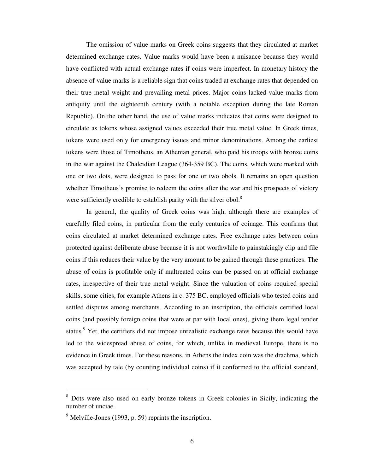The omission of value marks on Greek coins suggests that they circulated at market determined exchange rates. Value marks would have been a nuisance because they would have conflicted with actual exchange rates if coins were imperfect. In monetary history the absence of value marks is a reliable sign that coins traded at exchange rates that depended on their true metal weight and prevailing metal prices. Major coins lacked value marks from antiquity until the eighteenth century (with a notable exception during the late Roman Republic). On the other hand, the use of value marks indicates that coins were designed to circulate as tokens whose assigned values exceeded their true metal value. In Greek times, tokens were used only for emergency issues and minor denominations. Among the earliest tokens were those of Timotheus, an Athenian general, who paid his troops with bronze coins in the war against the Chalcidian League (364-359 BC). The coins, which were marked with one or two dots, were designed to pass for one or two obols. It remains an open question whether Timotheus's promise to redeem the coins after the war and his prospects of victory were sufficiently credible to establish parity with the silver obol.<sup>8</sup>

In general, the quality of Greek coins was high, although there are examples of carefully filed coins, in particular from the early centuries of coinage. This confirms that coins circulated at market determined exchange rates. Free exchange rates between coins protected against deliberate abuse because it is not worthwhile to painstakingly clip and file coins if this reduces their value by the very amount to be gained through these practices. The abuse of coins is profitable only if maltreated coins can be passed on at official exchange rates, irrespective of their true metal weight. Since the valuation of coins required special skills, some cities, for example Athens in c. 375 BC, employed officials who tested coins and settled disputes among merchants. According to an inscription, the officials certified local coins (and possibly foreign coins that were at par with local ones), giving them legal tender status.<sup>9</sup> Yet, the certifiers did not impose unrealistic exchange rates because this would have led to the widespread abuse of coins, for which, unlike in medieval Europe, there is no evidence in Greek times. For these reasons, in Athens the index coin was the drachma, which was accepted by tale (by counting individual coins) if it conformed to the official standard,

<sup>&</sup>lt;sup>8</sup> Dots were also used on early bronze tokens in Greek colonies in Sicily, indicating the number of unciae.

 $9^9$  Melville-Jones (1993, p. 59) reprints the inscription.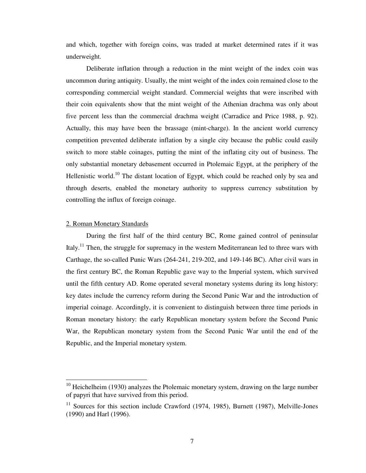and which, together with foreign coins, was traded at market determined rates if it was underweight.

Deliberate inflation through a reduction in the mint weight of the index coin was uncommon during antiquity. Usually, the mint weight of the index coin remained close to the corresponding commercial weight standard. Commercial weights that were inscribed with their coin equivalents show that the mint weight of the Athenian drachma was only about five percent less than the commercial drachma weight (Carradice and Price 1988, p. 92). Actually, this may have been the brassage (mint-charge). In the ancient world currency competition prevented deliberate inflation by a single city because the public could easily switch to more stable coinages, putting the mint of the inflating city out of business. The only substantial monetary debasement occurred in Ptolemaic Egypt, at the periphery of the Hellenistic world.<sup>10</sup> The distant location of Egypt, which could be reached only by sea and through deserts, enabled the monetary authority to suppress currency substitution by controlling the influx of foreign coinage.

#### 2. Roman Monetary Standards

-

During the first half of the third century BC, Rome gained control of peninsular Italy.<sup>11</sup> Then, the struggle for supremacy in the western Mediterranean led to three wars with Carthage, the so-called Punic Wars (264-241, 219-202, and 149-146 BC). After civil wars in the first century BC, the Roman Republic gave way to the Imperial system, which survived until the fifth century AD. Rome operated several monetary systems during its long history: key dates include the currency reform during the Second Punic War and the introduction of imperial coinage. Accordingly, it is convenient to distinguish between three time periods in Roman monetary history: the early Republican monetary system before the Second Punic War, the Republican monetary system from the Second Punic War until the end of the Republic, and the Imperial monetary system.

 $10$  Heichelheim (1930) analyzes the Ptolemaic monetary system, drawing on the large number of papyri that have survived from this period.

 $11$  Sources for this section include Crawford (1974, 1985), Burnett (1987), Melville-Jones (1990) and Harl (1996).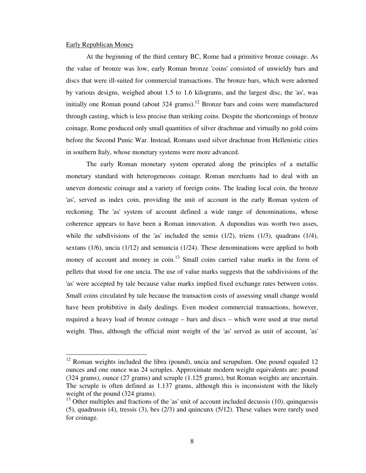#### Early Republican Money

-

At the beginning of the third century BC, Rome had a primitive bronze coinage. As the value of bronze was low, early Roman bronze 'coins' consisted of unwieldy bars and discs that were ill-suited for commercial transactions. The bronze bars, which were adorned by various designs, weighed about 1.5 to 1.6 kilograms, and the largest disc, the 'as', was initially one Roman pound (about  $324$  grams).<sup>12</sup> Bronze bars and coins were manufactured through casting, which is less precise than striking coins. Despite the shortcomings of bronze coinage, Rome produced only small quantities of silver drachmae and virtually no gold coins before the Second Punic War. Instead, Romans used silver drachmae from Hellenistic cities in southern Italy, whose monetary systems were more advanced.

The early Roman monetary system operated along the principles of a metallic monetary standard with heterogeneous coinage. Roman merchants had to deal with an uneven domestic coinage and a variety of foreign coins. The leading local coin, the bronze 'as', served as index coin, providing the unit of account in the early Roman system of reckoning. The 'as' system of account defined a wide range of denominations, whose coherence appears to have been a Roman innovation. A dupondius was worth two asses, while the subdivisions of the 'as' included the semis (1/2), triens (1/3), quadrans (1/4), sextans (1/6), uncia (1/12) and semuncia (1/24). These denominations were applied to both money of account and money in  $\text{coin}^{13}$  Small coins carried value marks in the form of pellets that stood for one uncia. The use of value marks suggests that the subdivisions of the 'as' were accepted by tale because value marks implied fixed exchange rates between coins. Small coins circulated by tale because the transaction costs of assessing small change would have been prohibitive in daily dealings. Even modest commercial transactions, however, required a heavy load of bronze coinage – bars and discs – which were used at true metal weight. Thus, although the official mint weight of the 'as' served as unit of account, 'as'

<sup>&</sup>lt;sup>12</sup> Roman weights included the libra (pound), uncia and scrupulum. One pound equaled 12 ounces and one ounce was 24 scruples. Approximate modern weight equivalents are: pound (324 grams), ounce (27 grams) and scruple (1.125 grams), but Roman weights are uncertain. The scruple is often defined as 1.137 grams, although this is inconsistent with the likely weight of the pound (324 grams).

 $13$  Other multiples and fractions of the 'as' unit of account included decussis (10), quinquessis (5), quadrussis (4), tressis (3), bes (2/3) and quincunx (5/12). These values were rarely used for coinage.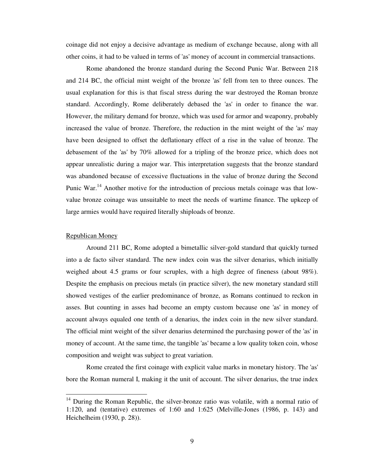coinage did not enjoy a decisive advantage as medium of exchange because, along with all other coins, it had to be valued in terms of 'as' money of account in commercial transactions.

Rome abandoned the bronze standard during the Second Punic War. Between 218 and 214 BC, the official mint weight of the bronze 'as' fell from ten to three ounces. The usual explanation for this is that fiscal stress during the war destroyed the Roman bronze standard. Accordingly, Rome deliberately debased the 'as' in order to finance the war. However, the military demand for bronze, which was used for armor and weaponry, probably increased the value of bronze. Therefore, the reduction in the mint weight of the 'as' may have been designed to offset the deflationary effect of a rise in the value of bronze. The debasement of the 'as' by 70% allowed for a tripling of the bronze price, which does not appear unrealistic during a major war. This interpretation suggests that the bronze standard was abandoned because of excessive fluctuations in the value of bronze during the Second Punic War.<sup>14</sup> Another motive for the introduction of precious metals coinage was that lowvalue bronze coinage was unsuitable to meet the needs of wartime finance. The upkeep of large armies would have required literally shiploads of bronze.

#### Republican Money

-

Around 211 BC, Rome adopted a bimetallic silver-gold standard that quickly turned into a de facto silver standard. The new index coin was the silver denarius, which initially weighed about 4.5 grams or four scruples, with a high degree of fineness (about 98%). Despite the emphasis on precious metals (in practice silver), the new monetary standard still showed vestiges of the earlier predominance of bronze, as Romans continued to reckon in asses. But counting in asses had become an empty custom because one 'as' in money of account always equaled one tenth of a denarius, the index coin in the new silver standard. The official mint weight of the silver denarius determined the purchasing power of the 'as' in money of account. At the same time, the tangible 'as' became a low quality token coin, whose composition and weight was subject to great variation.

Rome created the first coinage with explicit value marks in monetary history. The 'as' bore the Roman numeral I, making it the unit of account. The silver denarius, the true index

<sup>&</sup>lt;sup>14</sup> During the Roman Republic, the silver-bronze ratio was volatile, with a normal ratio of 1:120, and (tentative) extremes of 1:60 and 1:625 (Melville-Jones (1986, p. 143) and Heichelheim (1930, p. 28)).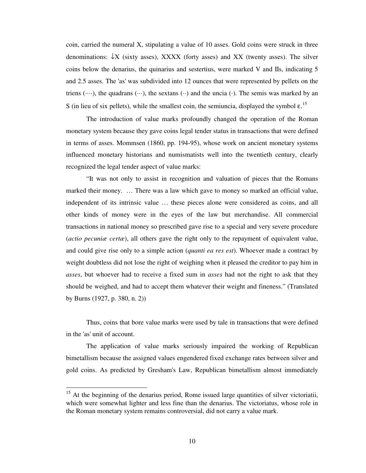coin, carried the numeral X, stipulating a value of 10 asses. Gold coins were struck in three denominations:  $\downarrow$ X (sixty asses), XXXX (forty asses) and XX (twenty asses). The silver coins below the denarius, the quinarius and sestertius, were marked V and IIs, indicating 5 and 2.5 asses. The 'as' was subdivided into 12 ounces that were represented by pellets on the triens  $(\cdots)$ , the quadrans  $(\cdots)$ , the sextans  $(\cdots)$  and the uncia  $(\cdot)$ . The semis was marked by an S (in lieu of six pellets), while the smallest coin, the semiuncia, displayed the symbol  $\varepsilon$ <sup>15</sup>

The introduction of value marks profoundly changed the operation of the Roman monetary system because they gave coins legal tender status in transactions that were defined in terms of asses. Mommsen (1860, pp. 194-95), whose work on ancient monetary systems influenced monetary historians and numismatists well into the twentieth century, clearly recognized the legal tender aspect of value marks:

"It was not only to assist in recognition and valuation of pieces that the Romans marked their money. … There was a law which gave to money so marked an official value, independent of its intrinsic value … these pieces alone were considered as coins, and all other kinds of money were in the eyes of the law but merchandise. All commercial transactions in national money so prescribed gave rise to a special and very severe procedure (*actio pecuniæ certæ*), all others gave the right only to the repayment of equivalent value, and could give rise only to a simple action (*quanti ea res est*). Whoever made a contract by weight doubtless did not lose the right of weighing when it pleased the creditor to pay him in *asses*, but whoever had to receive a fixed sum in *asses* had not the right to ask that they should be weighed, and had to accept them whatever their weight and fineness." (Translated by Burns (1927, p. 380, n. 2))

Thus, coins that bore value marks were used by tale in transactions that were defined in the 'as' unit of account.

The application of value marks seriously impaired the working of Republican bimetallism because the assigned values engendered fixed exchange rates between silver and gold coins. As predicted by Gresham's Law, Republican bimetallism almost immediately

 $15$  At the beginning of the denarius period, Rome issued large quantities of silver victoriatii, which were somewhat lighter and less fine than the denarius. The victoriatus, whose role in the Roman monetary system remains controversial, did not carry a value mark.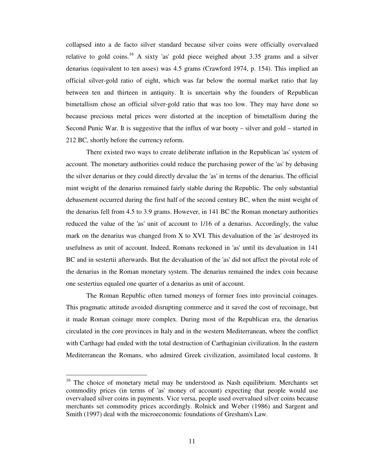collapsed into a de facto silver standard because silver coins were officially overvalued relative to gold coins.<sup>16</sup> A sixty 'as' gold piece weighed about 3.35 grams and a silver denarius (equivalent to ten asses) was 4.5 grams (Crawford 1974, p. 154). This implied an official silver-gold ratio of eight, which was far below the normal market ratio that lay between ten and thirteen in antiquity. It is uncertain why the founders of Republican bimetallism chose an official silver-gold ratio that was too low. They may have done so because precious metal prices were distorted at the inception of bimetallism during the Second Punic War. It is suggestive that the influx of war booty – silver and gold – started in 212 BC, shortly before the currency reform.

There existed two ways to create deliberate inflation in the Republican 'as' system of account. The monetary authorities could reduce the purchasing power of the 'as' by debasing the silver denarius or they could directly devalue the 'as' in terms of the denarius. The official mint weight of the denarius remained fairly stable during the Republic. The only substantial debasement occurred during the first half of the second century BC, when the mint weight of the denarius fell from 4.5 to 3.9 grams. However, in 141 BC the Roman monetary authorities reduced the value of the 'as' unit of account to 1/16 of a denarius. Accordingly, the value mark on the denarius was changed from X to XVI. This devaluation of the 'as' destroyed its usefulness as unit of account. Indeed, Romans reckoned in 'as' until its devaluation in 141 BC and in sestertii afterwards. But the devaluation of the 'as' did not affect the pivotal role of the denarius in the Roman monetary system. The denarius remained the index coin because one sestertius equaled one quarter of a denarius as unit of account.

The Roman Republic often turned moneys of former foes into provincial coinages. This pragmatic attitude avoided disrupting commerce and it saved the cost of recoinage, but it made Roman coinage more complex. During most of the Republican era, the denarius circulated in the core provinces in Italy and in the western Mediterranean, where the conflict with Carthage had ended with the total destruction of Carthaginian civilization. In the eastern Mediterranean the Romans, who admired Greek civilization, assimilated local customs. It

<sup>&</sup>lt;sup>16</sup> The choice of monetary metal may be understood as Nash equilibrium. Merchants set commodity prices (in terms of 'as' money of account) expecting that people would use overvalued silver coins in payments. Vice versa, people used overvalued silver coins because merchants set commodity prices accordingly. Rolnick and Weber (1986) and Sargent and Smith (1997) deal with the microeconomic foundations of Gresham's Law.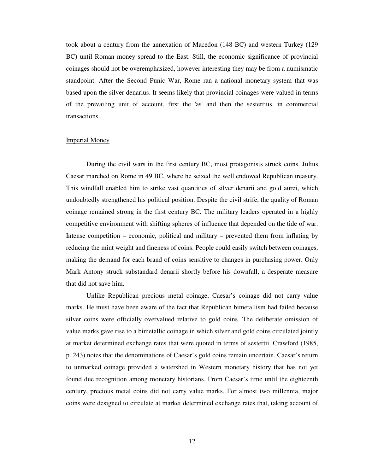took about a century from the annexation of Macedon (148 BC) and western Turkey (129 BC) until Roman money spread to the East. Still, the economic significance of provincial coinages should not be overemphasized, however interesting they may be from a numismatic standpoint. After the Second Punic War, Rome ran a national monetary system that was based upon the silver denarius. It seems likely that provincial coinages were valued in terms of the prevailing unit of account, first the 'as' and then the sestertius, in commercial transactions.

#### Imperial Money

During the civil wars in the first century BC, most protagonists struck coins. Julius Caesar marched on Rome in 49 BC, where he seized the well endowed Republican treasury. This windfall enabled him to strike vast quantities of silver denarii and gold aurei, which undoubtedly strengthened his political position. Despite the civil strife, the quality of Roman coinage remained strong in the first century BC. The military leaders operated in a highly competitive environment with shifting spheres of influence that depended on the tide of war. Intense competition – economic, political and military – prevented them from inflating by reducing the mint weight and fineness of coins. People could easily switch between coinages, making the demand for each brand of coins sensitive to changes in purchasing power. Only Mark Antony struck substandard denarii shortly before his downfall, a desperate measure that did not save him.

Unlike Republican precious metal coinage, Caesar's coinage did not carry value marks. He must have been aware of the fact that Republican bimetallism had failed because silver coins were officially overvalued relative to gold coins. The deliberate omission of value marks gave rise to a bimetallic coinage in which silver and gold coins circulated jointly at market determined exchange rates that were quoted in terms of sestertii. Crawford (1985, p. 243) notes that the denominations of Caesar's gold coins remain uncertain. Caesar's return to unmarked coinage provided a watershed in Western monetary history that has not yet found due recognition among monetary historians. From Caesar's time until the eighteenth century, precious metal coins did not carry value marks. For almost two millennia, major coins were designed to circulate at market determined exchange rates that, taking account of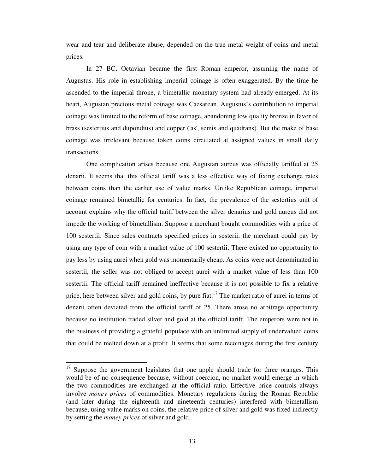wear and tear and deliberate abuse, depended on the true metal weight of coins and metal prices.

In 27 BC, Octavian became the first Roman emperor, assuming the name of Augustus. His role in establishing imperial coinage is often exaggerated. By the time he ascended to the imperial throne, a bimetallic monetary system had already emerged. At its heart, Augustan precious metal coinage was Caesarean. Augustus's contribution to imperial coinage was limited to the reform of base coinage, abandoning low quality bronze in favor of brass (sestertius and dupondius) and copper ('as', semis and quadrans). But the make of base coinage was irrelevant because token coins circulated at assigned values in small daily transactions.

One complication arises because one Augustan aureus was officially tariffed at 25 denarii. It seems that this official tariff was a less effective way of fixing exchange rates between coins than the earlier use of value marks. Unlike Republican coinage, imperial coinage remained bimetallic for centuries. In fact, the prevalence of the sestertius unit of account explains why the official tariff between the silver denarius and gold aureus did not impede the working of bimetallism. Suppose a merchant bought commodities with a price of 100 sestertii. Since sales contracts specified prices in sesterii, the merchant could pay by using any type of coin with a market value of 100 sestertii. There existed no opportunity to pay less by using aurei when gold was momentarily cheap. As coins were not denominated in sestertii, the seller was not obliged to accept aurei with a market value of less than 100 sestertii. The official tariff remained ineffective because it is not possible to fix a relative price, here between silver and gold coins, by pure fiat.<sup>17</sup> The market ratio of aurei in terms of denarii often deviated from the official tariff of 25. There arose no arbitrage opportunity because no institution traded silver and gold at the official tariff. The emperors were not in the business of providing a grateful populace with an unlimited supply of undervalued coins that could be melted down at a profit. It seems that some recoinages during the first century

 $17$  Suppose the government legislates that one apple should trade for three oranges. This would be of no consequence because, without coercion, no market would emerge in which the two commodities are exchanged at the official ratio. Effective price controls always involve *money prices* of commodities. Monetary regulations during the Roman Republic (and later during the eighteenth and nineteenth centuries) interfered with bimetallism because, using value marks on coins, the relative price of silver and gold was fixed indirectly by setting the *money prices* of silver and gold.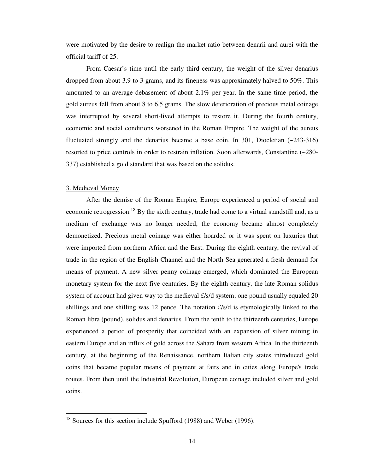were motivated by the desire to realign the market ratio between denarii and aurei with the official tariff of 25.

From Caesar's time until the early third century, the weight of the silver denarius dropped from about 3.9 to 3 grams, and its fineness was approximately halved to 50%. This amounted to an average debasement of about 2.1% per year. In the same time period, the gold aureus fell from about 8 to 6.5 grams. The slow deterioration of precious metal coinage was interrupted by several short-lived attempts to restore it. During the fourth century, economic and social conditions worsened in the Roman Empire. The weight of the aureus fluctuated strongly and the denarius became a base coin. In 301, Diocletian (~243-316) resorted to price controls in order to restrain inflation. Soon afterwards, Constantine (~280- 337) established a gold standard that was based on the solidus.

#### 3. Medieval Money

-

After the demise of the Roman Empire, Europe experienced a period of social and economic retrogression.<sup>18</sup> By the sixth century, trade had come to a virtual standstill and, as a medium of exchange was no longer needed, the economy became almost completely demonetized. Precious metal coinage was either hoarded or it was spent on luxuries that were imported from northern Africa and the East. During the eighth century, the revival of trade in the region of the English Channel and the North Sea generated a fresh demand for means of payment. A new silver penny coinage emerged, which dominated the European monetary system for the next five centuries. By the eighth century, the late Roman solidus system of account had given way to the medieval £/s/d system; one pound usually equaled 20 shillings and one shilling was 12 pence. The notation £/s/d is etymologically linked to the Roman libra (pound), solidus and denarius. From the tenth to the thirteenth centuries, Europe experienced a period of prosperity that coincided with an expansion of silver mining in eastern Europe and an influx of gold across the Sahara from western Africa. In the thirteenth century, at the beginning of the Renaissance, northern Italian city states introduced gold coins that became popular means of payment at fairs and in cities along Europe's trade routes. From then until the Industrial Revolution, European coinage included silver and gold coins.

 $18$  Sources for this section include Spufford (1988) and Weber (1996).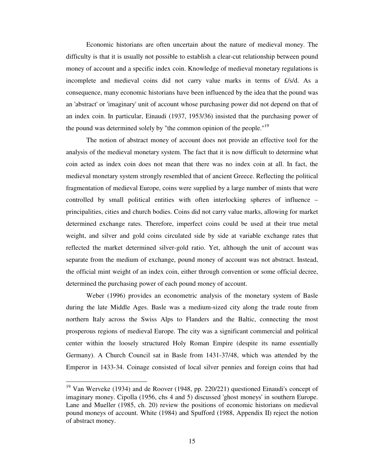Economic historians are often uncertain about the nature of medieval money. The difficulty is that it is usually not possible to establish a clear-cut relationship between pound money of account and a specific index coin. Knowledge of medieval monetary regulations is incomplete and medieval coins did not carry value marks in terms of £/s/d. As a consequence, many economic historians have been influenced by the idea that the pound was an 'abstract' or 'imaginary' unit of account whose purchasing power did not depend on that of an index coin. In particular, Einaudi (1937, 1953/36) insisted that the purchasing power of the pound was determined solely by "the common opinion of the people."<sup>19</sup>

The notion of abstract money of account does not provide an effective tool for the analysis of the medieval monetary system. The fact that it is now difficult to determine what coin acted as index coin does not mean that there was no index coin at all. In fact, the medieval monetary system strongly resembled that of ancient Greece. Reflecting the political fragmentation of medieval Europe, coins were supplied by a large number of mints that were controlled by small political entities with often interlocking spheres of influence – principalities, cities and church bodies. Coins did not carry value marks, allowing for market determined exchange rates. Therefore, imperfect coins could be used at their true metal weight, and silver and gold coins circulated side by side at variable exchange rates that reflected the market determined silver-gold ratio. Yet, although the unit of account was separate from the medium of exchange, pound money of account was not abstract. Instead, the official mint weight of an index coin, either through convention or some official decree, determined the purchasing power of each pound money of account.

Weber (1996) provides an econometric analysis of the monetary system of Basle during the late Middle Ages. Basle was a medium-sized city along the trade route from northern Italy across the Swiss Alps to Flanders and the Baltic, connecting the most prosperous regions of medieval Europe. The city was a significant commercial and political center within the loosely structured Holy Roman Empire (despite its name essentially Germany). A Church Council sat in Basle from 1431-37/48, which was attended by the Emperor in 1433-34. Coinage consisted of local silver pennies and foreign coins that had

 $19$  Van Werveke (1934) and de Roover (1948, pp. 220/221) questioned Einaudi's concept of imaginary money. Cipolla (1956, chs 4 and 5) discussed 'ghost moneys' in southern Europe. Lane and Mueller (1985, ch. 20) review the positions of economic historians on medieval pound moneys of account. White (1984) and Spufford (1988, Appendix II) reject the notion of abstract money.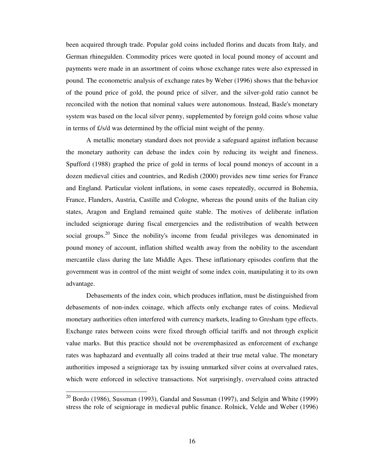been acquired through trade. Popular gold coins included florins and ducats from Italy, and German rhinegulden. Commodity prices were quoted in local pound money of account and payments were made in an assortment of coins whose exchange rates were also expressed in pound. The econometric analysis of exchange rates by Weber (1996) shows that the behavior of the pound price of gold, the pound price of silver, and the silver-gold ratio cannot be reconciled with the notion that nominal values were autonomous. Instead, Basle's monetary system was based on the local silver penny, supplemented by foreign gold coins whose value in terms of £/s/d was determined by the official mint weight of the penny.

A metallic monetary standard does not provide a safeguard against inflation because the monetary authority can debase the index coin by reducing its weight and fineness. Spufford (1988) graphed the price of gold in terms of local pound moneys of account in a dozen medieval cities and countries, and Redish (2000) provides new time series for France and England. Particular violent inflations, in some cases repeatedly, occurred in Bohemia, France, Flanders, Austria, Castille and Cologne, whereas the pound units of the Italian city states, Aragon and England remained quite stable. The motives of deliberate inflation included seigniorage during fiscal emergencies and the redistribution of wealth between social groups.<sup>20</sup> Since the nobility's income from feudal privileges was denominated in pound money of account, inflation shifted wealth away from the nobility to the ascendant mercantile class during the late Middle Ages. These inflationary episodes confirm that the government was in control of the mint weight of some index coin, manipulating it to its own advantage.

Debasements of the index coin, which produces inflation, must be distinguished from debasements of non-index coinage, which affects only exchange rates of coins. Medieval monetary authorities often interfered with currency markets, leading to Gresham type effects. Exchange rates between coins were fixed through official tariffs and not through explicit value marks. But this practice should not be overemphasized as enforcement of exchange rates was haphazard and eventually all coins traded at their true metal value. The monetary authorities imposed a seigniorage tax by issuing unmarked silver coins at overvalued rates, which were enforced in selective transactions. Not surprisingly, overvalued coins attracted

 $20$  Bordo (1986), Sussman (1993), Gandal and Sussman (1997), and Selgin and White (1999) stress the role of seigniorage in medieval public finance. Rolnick, Velde and Weber (1996)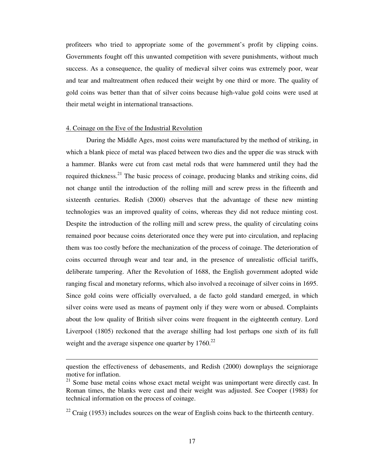profiteers who tried to appropriate some of the government's profit by clipping coins. Governments fought off this unwanted competition with severe punishments, without much success. As a consequence, the quality of medieval silver coins was extremely poor, wear and tear and maltreatment often reduced their weight by one third or more. The quality of gold coins was better than that of silver coins because high-value gold coins were used at their metal weight in international transactions.

#### 4. Coinage on the Eve of the Industrial Revolution

-

During the Middle Ages, most coins were manufactured by the method of striking, in which a blank piece of metal was placed between two dies and the upper die was struck with a hammer. Blanks were cut from cast metal rods that were hammered until they had the required thickness.<sup>21</sup> The basic process of coinage, producing blanks and striking coins, did not change until the introduction of the rolling mill and screw press in the fifteenth and sixteenth centuries. Redish (2000) observes that the advantage of these new minting technologies was an improved quality of coins, whereas they did not reduce minting cost. Despite the introduction of the rolling mill and screw press, the quality of circulating coins remained poor because coins deteriorated once they were put into circulation, and replacing them was too costly before the mechanization of the process of coinage. The deterioration of coins occurred through wear and tear and, in the presence of unrealistic official tariffs, deliberate tampering. After the Revolution of 1688, the English government adopted wide ranging fiscal and monetary reforms, which also involved a recoinage of silver coins in 1695. Since gold coins were officially overvalued, a de facto gold standard emerged, in which silver coins were used as means of payment only if they were worn or abused. Complaints about the low quality of British silver coins were frequent in the eighteenth century. Lord Liverpool (1805) reckoned that the average shilling had lost perhaps one sixth of its full weight and the average sixpence one quarter by  $1760$ .<sup>22</sup>

question the effectiveness of debasements, and Redish (2000) downplays the seigniorage motive for inflation.

<sup>&</sup>lt;sup>21</sup> Some base metal coins whose exact metal weight was unimportant were directly cast. In Roman times, the blanks were cast and their weight was adjusted. See Cooper (1988) for technical information on the process of coinage.

 $22$  Craig (1953) includes sources on the wear of English coins back to the thirteenth century.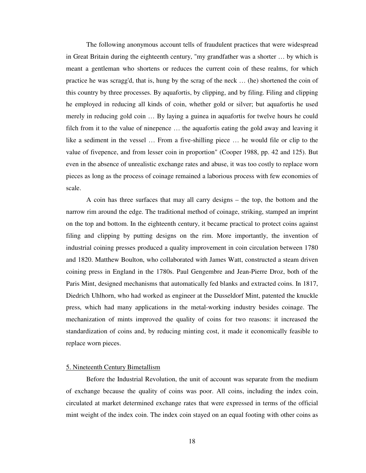The following anonymous account tells of fraudulent practices that were widespread in Great Britain during the eighteenth century, "my grandfather was a shorter … by which is meant a gentleman who shortens or reduces the current coin of these realms, for which practice he was scragg'd, that is, hung by the scrag of the neck … (he) shortened the coin of this country by three processes. By aquafortis, by clipping, and by filing. Filing and clipping he employed in reducing all kinds of coin, whether gold or silver; but aquafortis he used merely in reducing gold coin … By laying a guinea in aquafortis for twelve hours he could filch from it to the value of ninepence … the aquafortis eating the gold away and leaving it like a sediment in the vessel … From a five-shilling piece … he would file or clip to the value of fivepence, and from lesser coin in proportion" (Cooper 1988, pp. 42 and 125). But even in the absence of unrealistic exchange rates and abuse, it was too costly to replace worn pieces as long as the process of coinage remained a laborious process with few economies of scale.

A coin has three surfaces that may all carry designs – the top, the bottom and the narrow rim around the edge. The traditional method of coinage, striking, stamped an imprint on the top and bottom. In the eighteenth century, it became practical to protect coins against filing and clipping by putting designs on the rim. More importantly, the invention of industrial coining presses produced a quality improvement in coin circulation between 1780 and 1820. Matthew Boulton, who collaborated with James Watt, constructed a steam driven coining press in England in the 1780s. Paul Gengembre and Jean-Pierre Droz, both of the Paris Mint, designed mechanisms that automatically fed blanks and extracted coins. In 1817, Diedrich Uhlhorn, who had worked as engineer at the Dusseldorf Mint, patented the knuckle press, which had many applications in the metal-working industry besides coinage. The mechanization of mints improved the quality of coins for two reasons: it increased the standardization of coins and, by reducing minting cost, it made it economically feasible to replace worn pieces.

#### 5. Nineteenth Century Bimetallism

Before the Industrial Revolution, the unit of account was separate from the medium of exchange because the quality of coins was poor. All coins, including the index coin, circulated at market determined exchange rates that were expressed in terms of the official mint weight of the index coin. The index coin stayed on an equal footing with other coins as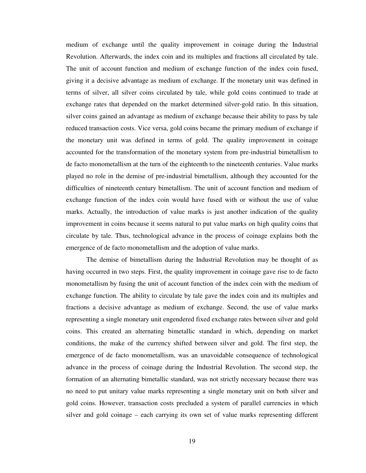medium of exchange until the quality improvement in coinage during the Industrial Revolution. Afterwards, the index coin and its multiples and fractions all circulated by tale. The unit of account function and medium of exchange function of the index coin fused, giving it a decisive advantage as medium of exchange. If the monetary unit was defined in terms of silver, all silver coins circulated by tale, while gold coins continued to trade at exchange rates that depended on the market determined silver-gold ratio. In this situation, silver coins gained an advantage as medium of exchange because their ability to pass by tale reduced transaction costs. Vice versa, gold coins became the primary medium of exchange if the monetary unit was defined in terms of gold. The quality improvement in coinage accounted for the transformation of the monetary system from pre-industrial bimetallism to de facto monometallism at the turn of the eighteenth to the nineteenth centuries. Value marks played no role in the demise of pre-industrial bimetallism, although they accounted for the difficulties of nineteenth century bimetallism. The unit of account function and medium of exchange function of the index coin would have fused with or without the use of value marks. Actually, the introduction of value marks is just another indication of the quality improvement in coins because it seems natural to put value marks on high quality coins that circulate by tale. Thus, technological advance in the process of coinage explains both the emergence of de facto monometallism and the adoption of value marks.

The demise of bimetallism during the Industrial Revolution may be thought of as having occurred in two steps. First, the quality improvement in coinage gave rise to de facto monometallism by fusing the unit of account function of the index coin with the medium of exchange function. The ability to circulate by tale gave the index coin and its multiples and fractions a decisive advantage as medium of exchange. Second, the use of value marks representing a single monetary unit engendered fixed exchange rates between silver and gold coins. This created an alternating bimetallic standard in which, depending on market conditions, the make of the currency shifted between silver and gold. The first step, the emergence of de facto monometallism, was an unavoidable consequence of technological advance in the process of coinage during the Industrial Revolution. The second step, the formation of an alternating bimetallic standard, was not strictly necessary because there was no need to put unitary value marks representing a single monetary unit on both silver and gold coins. However, transaction costs precluded a system of parallel currencies in which silver and gold coinage – each carrying its own set of value marks representing different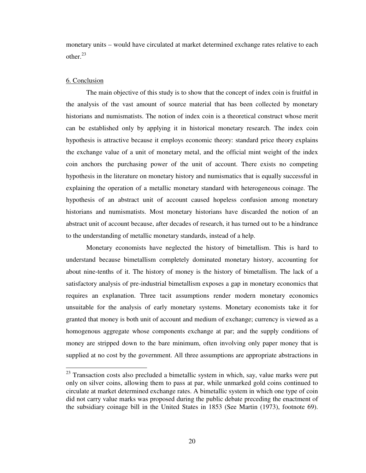monetary units – would have circulated at market determined exchange rates relative to each other. $23$ 

### 6. Conclusion

-

The main objective of this study is to show that the concept of index coin is fruitful in the analysis of the vast amount of source material that has been collected by monetary historians and numismatists. The notion of index coin is a theoretical construct whose merit can be established only by applying it in historical monetary research. The index coin hypothesis is attractive because it employs economic theory: standard price theory explains the exchange value of a unit of monetary metal, and the official mint weight of the index coin anchors the purchasing power of the unit of account. There exists no competing hypothesis in the literature on monetary history and numismatics that is equally successful in explaining the operation of a metallic monetary standard with heterogeneous coinage. The hypothesis of an abstract unit of account caused hopeless confusion among monetary historians and numismatists. Most monetary historians have discarded the notion of an abstract unit of account because, after decades of research, it has turned out to be a hindrance to the understanding of metallic monetary standards, instead of a help.

Monetary economists have neglected the history of bimetallism. This is hard to understand because bimetallism completely dominated monetary history, accounting for about nine-tenths of it. The history of money is the history of bimetallism. The lack of a satisfactory analysis of pre-industrial bimetallism exposes a gap in monetary economics that requires an explanation. Three tacit assumptions render modern monetary economics unsuitable for the analysis of early monetary systems. Monetary economists take it for granted that money is both unit of account and medium of exchange; currency is viewed as a homogenous aggregate whose components exchange at par; and the supply conditions of money are stripped down to the bare minimum, often involving only paper money that is supplied at no cost by the government. All three assumptions are appropriate abstractions in

 $23$  Transaction costs also precluded a bimetallic system in which, say, value marks were put only on silver coins, allowing them to pass at par, while unmarked gold coins continued to circulate at market determined exchange rates. A bimetallic system in which one type of coin did not carry value marks was proposed during the public debate preceding the enactment of the subsidiary coinage bill in the United States in 1853 (See Martin (1973), footnote 69).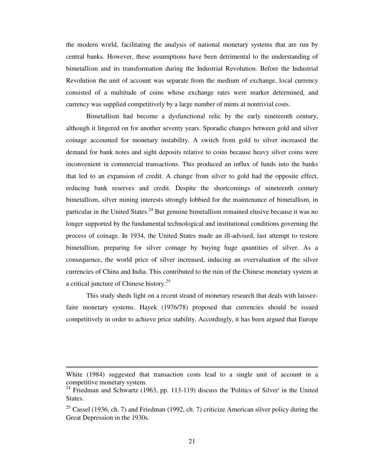the modern world, facilitating the analysis of national monetary systems that are run by central banks. However, these assumptions have been detrimental to the understanding of bimetallism and its transformation during the Industrial Revolution. Before the Industrial Revolution the unit of account was separate from the medium of exchange, local currency consisted of a multitude of coins whose exchange rates were market determined, and currency was supplied competitively by a large number of mints at nontrivial costs.

Bimetallism had become a dysfunctional relic by the early nineteenth century, although it lingered on for another seventy years. Sporadic changes between gold and silver coinage accounted for monetary instability. A switch from gold to silver increased the demand for bank notes and sight deposits relative to coins because heavy silver coins were inconvenient in commercial transactions. This produced an influx of funds into the banks that led to an expansion of credit. A change from silver to gold had the opposite effect, reducing bank reserves and credit. Despite the shortcomings of nineteenth century bimetallism, silver mining interests strongly lobbied for the maintenance of bimetallism, in particular in the United States.<sup>24</sup> But genuine bimetallism remained elusive because it was no longer supported by the fundamental technological and institutional conditions governing the process of coinage. In 1934, the United States made an ill-advised, last attempt to restore bimetallism, preparing for silver coinage by buying huge quantities of silver. As a consequence, the world price of silver increased, inducing an overvaluation of the silver currencies of China and India. This contributed to the ruin of the Chinese monetary system at a critical juncture of Chinese history.<sup>25</sup>

This study sheds light on a recent strand of monetary research that deals with laissezfaire monetary systems. Hayek (1976/78) proposed that currencies should be issued competitively in order to achieve price stability. Accordingly, it has been argued that Europe

White (1984) suggested that transaction costs lead to a single unit of account in a competitive monetary system.

 $24$  Friedman and Schwartz (1963, pp. 113-119) discuss the 'Politics of Silver' in the United States.

<sup>&</sup>lt;sup>25</sup> Cassel (1936, ch. 7) and Friedman (1992, ch. 7) criticize American silver policy during the Great Depression in the 1930s.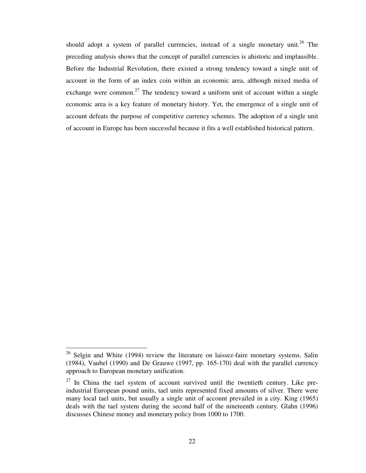should adopt a system of parallel currencies, instead of a single monetary unit.<sup>26</sup> The preceding analysis shows that the concept of parallel currencies is ahistoric and implausible. Before the Industrial Revolution, there existed a strong tendency toward a single unit of account in the form of an index coin within an economic area, although mixed media of exchange were common.<sup>27</sup> The tendency toward a uniform unit of account within a single economic area is a key feature of monetary history. Yet, the emergence of a single unit of account defeats the purpose of competitive currency schemes. The adoption of a single unit of account in Europe has been successful because it fits a well established historical pattern.

 $26$  Selgin and White (1994) review the literature on laissez-faire monetary systems. Salin (1984), Vaubel (1990) and De Grauwe (1997, pp. 165-170) deal with the parallel currency approach to European monetary unification.

 $27$  In China the tael system of account survived until the twentieth century. Like preindustrial European pound units, tael units represented fixed amounts of silver. There were many local tael units, but usually a single unit of account prevailed in a city. King (1965) deals with the tael system during the second half of the nineteenth century. Glahn (1996) discusses Chinese money and monetary policy from 1000 to 1700.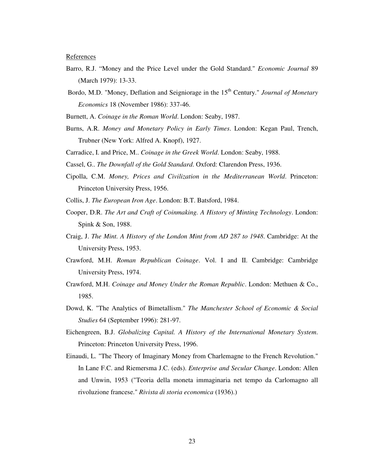References

- Barro, R.J. "Money and the Price Level under the Gold Standard." *Economic Journal* 89 (March 1979): 13-33.
- Bordo, M.D. "Money, Deflation and Seigniorage in the 15<sup>th</sup> Century." *Journal of Monetary Economics* 18 (November 1986): 337-46.
- Burnett, A. *Coinage in the Roman World*. London: Seaby, 1987.
- Burns, A.R. *Money and Monetary Policy in Early Times*. London: Kegan Paul, Trench, Trubner (New York: Alfred A. Knopf), 1927.
- Carradice, I. and Price, M.. *Coinage in the Greek World*. London: Seaby, 1988.
- Cassel, G.. *The Downfall of the Gold Standard*. Oxford: Clarendon Press, 1936.
- Cipolla, C.M. *Money, Prices and Civilization in the Mediterranean World*. Princeton: Princeton University Press, 1956.
- Collis, J. *The European Iron Age*. London: B.T. Batsford, 1984.
- Cooper, D.R. *The Art and Craft of Coinmaking. A History of Minting Technology*. London: Spink & Son, 1988.
- Craig, J. *The Mint. A History of the London Mint from AD 287 to 1948*. Cambridge: At the University Press, 1953.
- Crawford, M.H. *Roman Republican Coinage*. Vol. I and II. Cambridge: Cambridge University Press, 1974.
- Crawford, M.H. *Coinage and Money Under the Roman Republic*. London: Methuen & Co., 1985.
- Dowd, K. "The Analytics of Bimetallism." *The Manchester School of Economic & Social Studies* 64 (September 1996): 281-97.
- Eichengreen, B.J. *Globalizing Capital. A History of the International Monetary System*. Princeton: Princeton University Press, 1996.
- Einaudi, L. "The Theory of Imaginary Money from Charlemagne to the French Revolution." In Lane F.C. and Riemersma J.C. (eds). *Enterprise and Secular Change*. London: Allen and Unwin, 1953 ("Teoria della moneta immaginaria net tempo da Carlomagno all rivoluzione francese." *Rivista di storia economica* (1936).)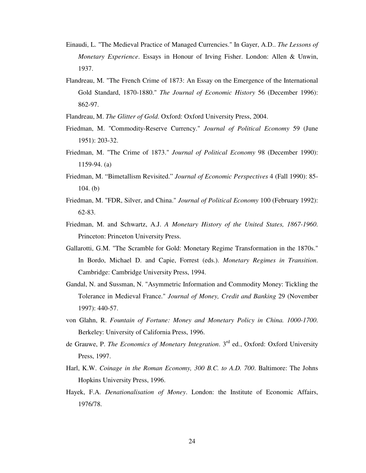- Einaudi, L. "The Medieval Practice of Managed Currencies." In Gayer, A.D.. *The Lessons of Monetary Experience*. Essays in Honour of Irving Fisher. London: Allen & Unwin, 1937.
- Flandreau, M. "The French Crime of 1873: An Essay on the Emergence of the International Gold Standard, 1870-1880." *The Journal of Economic History* 56 (December 1996): 862-97.
- Flandreau, M. *The Glitter of Gold*. Oxford: Oxford University Press, 2004.
- Friedman, M. "Commodity-Reserve Currency." *Journal of Political Economy* 59 (June 1951): 203-32.
- Friedman, M. "The Crime of 1873." *Journal of Political Economy* 98 (December 1990): 1159-94. (a)
- Friedman, M. "Bimetallism Revisited." *Journal of Economic Perspectives* 4 (Fall 1990): 85- 104. (b)
- Friedman, M. "FDR, Silver, and China." *Journal of Political Economy* 100 (February 1992): 62-83.
- Friedman, M. and Schwartz, A.J. *A Monetary History of the United States, 1867-1960*. Princeton: Princeton University Press.
- Gallarotti, G.M. "The Scramble for Gold: Monetary Regime Transformation in the 1870s." In Bordo, Michael D. and Capie, Forrest (eds.). *Monetary Regimes in Transition*. Cambridge: Cambridge University Press, 1994.
- Gandal, N. and Sussman, N. "Asymmetric Information and Commodity Money: Tickling the Tolerance in Medieval France." *Journal of Money, Credit and Banking* 29 (November 1997): 440-57.
- von Glahn, R. *Fountain of Fortune: Money and Monetary Policy in China. 1000-1700*. Berkeley: University of California Press, 1996.
- de Grauwe, P. *The Economics of Monetary Integration*. 3<sup>rd</sup> ed., Oxford: Oxford University Press, 1997.
- Harl, K.W. *Coinage in the Roman Economy, 300 B.C. to A.D. 700*. Baltimore: The Johns Hopkins University Press, 1996.
- Hayek, F.A. *Denationalisation of Money*. London: the Institute of Economic Affairs, 1976/78.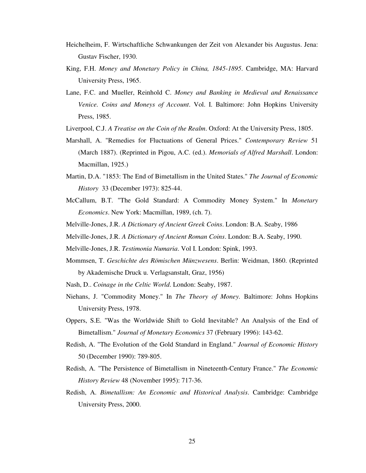- Heichelheim, F. Wirtschaftliche Schwankungen der Zeit von Alexander bis Augustus. Jena: Gustav Fischer, 1930.
- King, F.H. *Money and Monetary Policy in China, 1845-1895*. Cambridge, MA: Harvard University Press, 1965.
- Lane, F.C. and Mueller, Reinhold C. *Money and Banking in Medieval and Renaissance Venice. Coins and Moneys of Account*. Vol. I. Baltimore: John Hopkins University Press, 1985.
- Liverpool, C.J. *A Treatise on the Coin of the Realm*. Oxford: At the University Press, 1805.
- Marshall, A. "Remedies for Fluctuations of General Prices." *Contemporary Review* 51 (March 1887). (Reprinted in Pigou, A.C. (ed.). *Memorials of Alfred Marshall*. London: Macmillan, 1925.)
- Martin, D.A. "1853: The End of Bimetallism in the United States." *The Journal of Economic History* 33 (December 1973): 825-44.
- McCallum, B.T. "The Gold Standard: A Commodity Money System." In *Monetary Economics*. New York: Macmillan, 1989, (ch. 7).
- Melville-Jones, J.R. *A Dictionary of Ancient Greek Coins*. London: B.A. Seaby, 1986
- Melville-Jones, J.R. *A Dictionary of Ancient Roman Coins*. London: B.A. Seaby, 1990.
- Melville-Jones, J.R. *Testimonia Numaria*. Vol I. London: Spink, 1993.
- Mommsen, T. *Geschichte des Römischen Münzwesens*. Berlin: Weidman, 1860. (Reprinted by Akademische Druck u. Verlagsanstalt, Graz, 1956)
- Nash, D.. *Coinage in the Celtic World*. London: Seaby, 1987.
- Niehans, J. "Commodity Money." In *The Theory of Money.* Baltimore: Johns Hopkins University Press, 1978.
- Oppers, S.E. "Was the Worldwide Shift to Gold Inevitable? An Analysis of the End of Bimetallism." *Journal of Monetary Economics* 37 (February 1996): 143-62.
- Redish, A. "The Evolution of the Gold Standard in England." *Journal of Economic History* 50 (December 1990): 789-805.
- Redish, A. "The Persistence of Bimetallism in Nineteenth-Century France." *The Economic History Review* 48 (November 1995): 717-36.
- Redish, A. *Bimetallism: An Economic and Historical Analysis*. Cambridge: Cambridge University Press, 2000.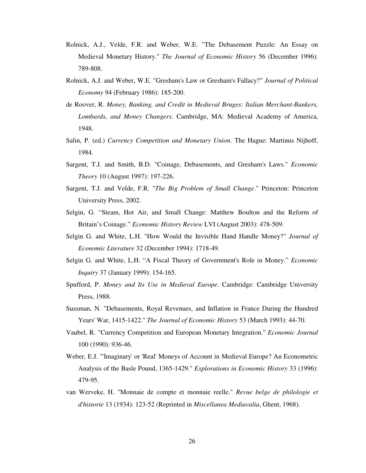- Rolnick, A.J., Velde, F.R. and Weber, W.E. "The Debasement Puzzle: An Essay on Medieval Monetary History." *The Journal of Economic History* 56 (December 1996): 789-808.
- Rolnick, A.J. and Weber, W.E. "Gresham's Law or Gresham's Fallacy?" *Journal of Political Economy* 94 (February 1986): 185-200.
- de Roover, R. *Money, Banking, and Credit in Medieval Bruges: Italian Merchant-Bankers, Lombards, and Money Changers*. Cambridge, MA: Medieval Academy of America, 1948.
- Salin, P. (ed.) *Currency Competition and Monetary Union*. The Hague: Martinus Nijhoff, 1984.
- Sargent, T.J. and Smith, B.D. "Coinage, Debasements, and Gresham's Laws." *Economic Theory* 10 (August 1997): 197-226.
- Sargent, T.J. and Velde, F.R. "*The Big Problem of Small Change*." Princeton: Princeton University Press, 2002.
- Selgin, G. "Steam, Hot Air, and Small Change: Matthew Boulton and the Reform of Britain's Coinage." *Economic History Review* LVI (August 2003): 478-509.
- Selgin G. and White, L.H. "How Would the Invisible Hand Handle Money?" *Journal of Economic Literature* 32 (December 1994): 1718-49.
- Selgin G. and White, L.H. "A Fiscal Theory of Government's Role in Money." *Economic Inquiry* 37 (January 1999): 154-165.
- Spufford, P. *Money and Its Use in Medieval Europe*. Cambridge: Cambridge University Press, 1988.
- Sussman, N. "Debasements, Royal Revenues, and Inflation in France During the Hundred Years' War, 1415-1422." *The Journal of Economic History* 53 (March 1993): 44-70.
- Vaubel, R. "Currency Competition and European Monetary Integration." *Economic Journal* 100 (1990): 936-46.
- Weber, E.J. "'Imaginary' or 'Real' Moneys of Account in Medieval Europe? An Econometric Analysis of the Basle Pound, 1365-1429." *Explorations in Economic History* 33 (1996): 479-95.
- van Werveke, H. "Monnaie de compte et monnaie reelle." *Revue belge de philologie et d'historie* 13 (1934): 123-52 (Reprinted in *Miscellanea Mediavalia*, Ghent, 1968).